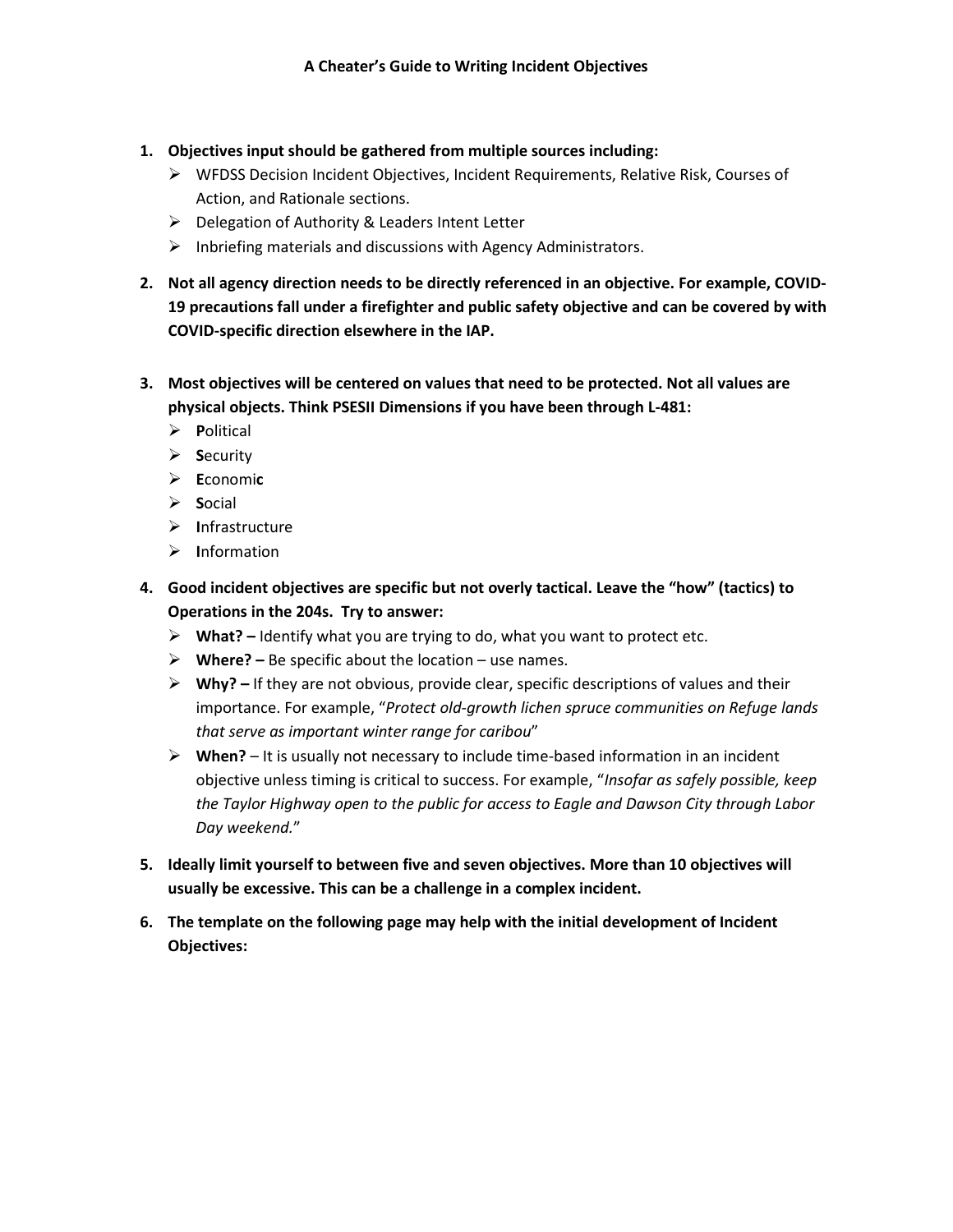- **1. Objectives input should be gathered from multiple sources including:**
	- WFDSS Decision Incident Objectives, Incident Requirements, Relative Risk, Courses of Action, and Rationale sections.
	- Delegation of Authority & Leaders Intent Letter
	- $\triangleright$  Inbriefing materials and discussions with Agency Administrators.
- **2. Not all agency direction needs to be directly referenced in an objective. For example, COVID-19 precautions fall under a firefighter and public safety objective and can be covered by with COVID-specific direction elsewhere in the IAP.**
- **3. Most objectives will be centered on values that need to be protected. Not all values are physical objects. Think PSESII Dimensions if you have been through L-481:**
	- **P**olitical
	- **S**ecurity
	- **E**conomi**c**
	- **S**ocial
	- **I**nfrastructure
	- **I**nformation
- **4. Good incident objectives are specific but not overly tactical. Leave the "how" (tactics) to Operations in the 204s. Try to answer:**
	- **What? –** Identify what you are trying to do, what you want to protect etc.
	- **Where? –** Be specific about the location use names.
	- **Why? –** If they are not obvious, provide clear, specific descriptions of values and their importance. For example, "*Protect old-growth lichen spruce communities on Refuge lands that serve as important winter range for caribou*"
	- **When?**  It is usually not necessary to include time-based information in an incident objective unless timing is critical to success. For example, "*Insofar as safely possible, keep the Taylor Highway open to the public for access to Eagle and Dawson City through Labor Day weekend.*"
- **5. Ideally limit yourself to between five and seven objectives. More than 10 objectives will usually be excessive. This can be a challenge in a complex incident.**
- **6. The template on the following page may help with the initial development of Incident Objectives:**